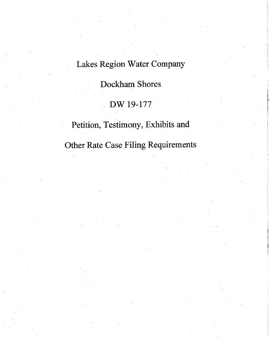## Lakes Region Water Company

# Dockham Shores

### DW 19-177

# Petition, Testimony, Exhibits and

Other Rate Case Filing Requirements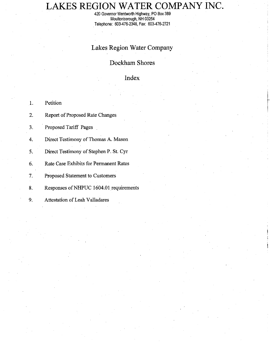# LAKES REGION WATER COMPANY INC.

420 Governor Wentworth Highway, PO Box 389<br>Moultonborough, NH 03254 Telephone: 603-476-2348, Fax: 603-476-2721

### Lakes Region Water Company

### Dockham Shores

### Index

| $\mathbf{1}$ . | Petition                                |
|----------------|-----------------------------------------|
| 2.             | <b>Report of Proposed Rate Changes</b>  |
| 3.             | Proposed Tariff Pages                   |
| 4.             | Direct Testimony of Thomas A. Mason     |
| 5.             | Direct Testimony of Stephen P. St. Cyr  |
| 6.             | Rate Case Exhibits for Permanent Rates  |
| 7.             | Proposed Statement to Customers         |
| 8.             | Responses of NHPUC 1604.01 requirements |
| 9.             | <b>Attestation of Leah Valladares</b>   |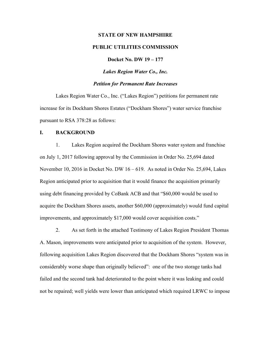# **STATE OF NEW HAMPSHIRE PUBLIC UTILITIES COMMISSION**

**Docket No. DW 19 – 177**

*Lakes Region Water Co., Inc.*

#### *Petition for Permanent Rate Increases*

Lakes Region Water Co., Inc. ("Lakes Region") petitions for permanent rate increase for its Dockham Shores Estates ("Dockham Shores") water service franchise pursuant to RSA 378:28 as follows:

#### **I. BACKGROUND**

1. Lakes Region acquired the Dockham Shores water system and franchise on July 1, 2017 following approval by the Commission in Order No. 25,694 dated November 10, 2016 in Docket No. DW 16 – 619. As noted in Order No. 25,694, Lakes Region anticipated prior to acquisition that it would finance the acquisition primarily using debt financing provided by CoBank ACB and that "\$60,000 would be used to acquire the Dockham Shores assets, another \$60,000 (approximately) would fund capital improvements, and approximately \$17,000 would cover acquisition costs."

2. As set forth in the attached Testimony of Lakes Region President Thomas A. Mason, improvements were anticipated prior to acquisition of the system. However, following acquisition Lakes Region discovered that the Dockham Shores "system was in considerably worse shape than originally believed": one of the two storage tanks had failed and the second tank had deteriorated to the point where it was leaking and could not be repaired; well yields were lower than anticipated which required LRWC to impose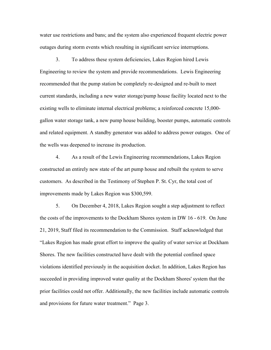water use restrictions and bans; and the system also experienced frequent electric power outages during storm events which resulting in significant service interruptions.

3. To address these system deficiencies, Lakes Region hired Lewis Engineering to review the system and provide recommendations. Lewis Engineering recommended that the pump station be completely re-designed and re-built to meet current standards, including a new water storage/pump house facility located next to the existing wells to eliminate internal electrical problems; a reinforced concrete 15,000 gallon water storage tank, a new pump house building, booster pumps, automatic controls and related equipment. A standby generator was added to address power outages. One of the wells was deepened to increase its production.

4. As a result of the Lewis Engineering recommendations, Lakes Region constructed an entirely new state of the art pump house and rebuilt the system to serve customers. As described in the Testimony of Stephen P. St. Cyr, the total cost of improvements made by Lakes Region was \$300,599.

5. On December 4, 2018, Lakes Region sought a step adjustment to reflect the costs of the improvements to the Dockham Shores system in DW 16 - 619. On June 21, 2019, Staff filed its recommendation to the Commission. Staff acknowledged that "Lakes Region has made great effort to improve the quality of water service at Dockham Shores. The new facilities constructed have dealt with the potential confined space violations identified previously in the acquisition docket. In addition, Lakes Region has succeeded in providing improved water quality at the Dockham Shores' system that the prior facilities could not offer. Additionally, the new facilities include automatic controls and provisions for future water treatment." Page 3.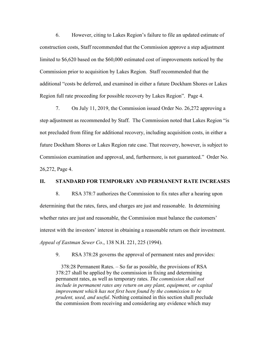6. However, citing to Lakes Region's failure to file an updated estimate of construction costs, Staff recommended that the Commission approve a step adjustment limited to \$6,620 based on the \$60,000 estimated cost of improvements noticed by the Commission prior to acquisition by Lakes Region. Staff recommended that the additional "costs be deferred, and examined in either a future Dockham Shores or Lakes Region full rate proceeding for possible recovery by Lakes Region". Page 4.

7. On July 11, 2019, the Commission issued Order No. 26,272 approving a step adjustment as recommended by Staff. The Commission noted that Lakes Region "is not precluded from filing for additional recovery, including acquisition costs, in either a future Dockham Shores or Lakes Region rate case. That recovery, however, is subject to Commission examination and approval, and, furthermore, is not guaranteed." Order No. 26,272, Page 4.

#### **II. STANDARD FOR TEMPORARY AND PERMANENT RATE INCREASES**

8. RSA 378:7 authorizes the Commission to fix rates after a hearing upon determining that the rates, fares, and charges are just and reasonable. In determining whether rates are just and reasonable, the Commission must balance the customers' interest with the investors' interest in obtaining a reasonable return on their investment. *Appeal of Eastman Sewer Co*., 138 N.H. 221, 225 (1994).

9. RSA 378:28 governs the approval of permanent rates and provides:

 378:28 Permanent Rates. – So far as possible, the provisions of RSA 378:27 shall be applied by the commission in fixing and determining permanent rates, as well as temporary rates. *The commission shall not include in permanent rates any return on any plant, equipment, or capital improvement which has not first been found by the commission to be prudent, used, and useful*. Nothing contained in this section shall preclude the commission from receiving and considering any evidence which may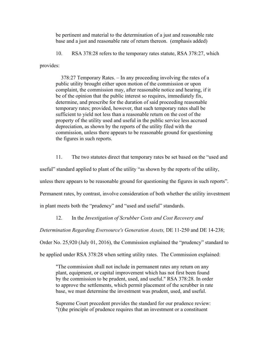be pertinent and material to the determination of a just and reasonable rate base and a just and reasonable rate of return thereon. (emphasis added)

10. RSA 378:28 refers to the temporary rates statute, RSA 378:27, which

provides:

 378:27 Temporary Rates. – In any proceeding involving the rates of a public utility brought either upon motion of the commission or upon complaint, the commission may, after reasonable notice and hearing, if it be of the opinion that the public interest so requires, immediately fix, determine, and prescribe for the duration of said proceeding reasonable temporary rates; provided, however, that such temporary rates shall be sufficient to yield not less than a reasonable return on the cost of the property of the utility used and useful in the public service less accrued depreciation, as shown by the reports of the utility filed with the commission, unless there appears to be reasonable ground for questioning the figures in such reports.

11. The two statutes direct that temporary rates be set based on the "used and

useful" standard applied to plant of the utility "as shown by the reports of the utility,

unless there appears to be reasonable ground for questioning the figures in such reports".

Permanent rates, by contrast, involve consideration of both whether the utility investment

in plant meets both the "prudency" and "used and useful" standards.

12. In the *Investigation of Scrubber Costs and Cost Recovery and* 

*Determination Regarding Eversource's Generation Assets,* DE 11-250 and DE 14-238;

Order No. 25,920 (July 01, 2016), the Commission explained the "prudency" standard to

be applied under RSA 378:28 when setting utility rates. The Commission explained:

"The commission shall not include in permanent rates any return on any plant, equipment, or capital improvement which has not first been found by the commission to be prudent, used, and useful." RSA 378:28. In order to approve the settlements, which permit placement of the scrubber in rate base, we must determine the investment was prudent, used, and useful.

Supreme Court precedent provides the standard for our prudence review: "(t)he principle of prudence requires that an investment or a constituent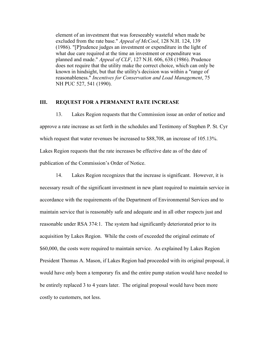element of an investment that was foreseeably wasteful when made be excluded from the rate base." *Appeal of McCool*, 128 N.H. 124, 139 (1986). "[P]rudence judges an investment or expenditure in the light of what due care required at the time an investment or expenditure was planned and made." *Appeal of CLF*, 127 N.H. 606, 638 (1986). Prudence does not require that the utility make the correct choice, which can only be known in hindsight, but that the utility's decision was within a "range of reasonableness." *Incentives for Conservation and Load Management*, 75 NH PUC 527, 541 (1990).

### **III. REQUEST FOR A PERMANENT RATE INCREASE**

13. Lakes Region requests that the Commission issue an order of notice and approve a rate increase as set forth in the schedules and Testimony of Stephen P. St. Cyr which request that water revenues be increased to \$88,708, an increase of 105.13%. Lakes Region requests that the rate increases be effective date as of the date of publication of the Commission's Order of Notice.

14. Lakes Region recognizes that the increase is significant. However, it is necessary result of the significant investment in new plant required to maintain service in accordance with the requirements of the Department of Environmental Services and to maintain service that is reasonably safe and adequate and in all other respects just and reasonable under RSA 374:1. The system had significantly deteriorated prior to its acquisition by Lakes Region. While the costs of exceeded the original estimate of \$60,000, the costs were required to maintain service. As explained by Lakes Region President Thomas A. Mason, if Lakes Region had proceeded with its original proposal, it would have only been a temporary fix and the entire pump station would have needed to be entirely replaced 3 to 4 years later. The original proposal would have been more costly to customers, not less.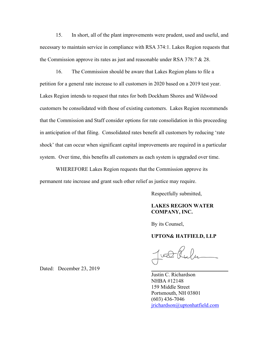15. In short, all of the plant improvements were prudent, used and useful, and necessary to maintain service in compliance with RSA 374:1. Lakes Region requests that the Commission approve its rates as just and reasonable under RSA 378:7 & 28.

16. The Commission should be aware that Lakes Region plans to file a petition for a general rate increase to all customers in 2020 based on a 2019 test year. Lakes Region intends to request that rates for both Dockham Shores and Wildwood customers be consolidated with those of existing customers. Lakes Region recommends that the Commission and Staff consider options for rate consolidation in this proceeding in anticipation of that filing. Consolidated rates benefit all customers by reducing 'rate shock' that can occur when significant capital improvements are required in a particular system. Over time, this benefits all customers as each system is upgraded over time.

WHEREFORE Lakes Region requests that the Commission approve its permanent rate increase and grant such other relief as justice may require.

Respectfully submitted,

### **LAKES REGION WATER COMPANY, INC.**

By its Counsel,

### **UPTON& HATFIELD, LLP**

 $w\bigoplus$ 

Justin C. Richardson NHBA #12148 159 Middle Street Portsmouth, NH 03801 (603) 436-7046 [jrichardson@uptonhatfield.com](mailto:jrichardson@upton-hatfield.com)

Dated: December 23, 2019